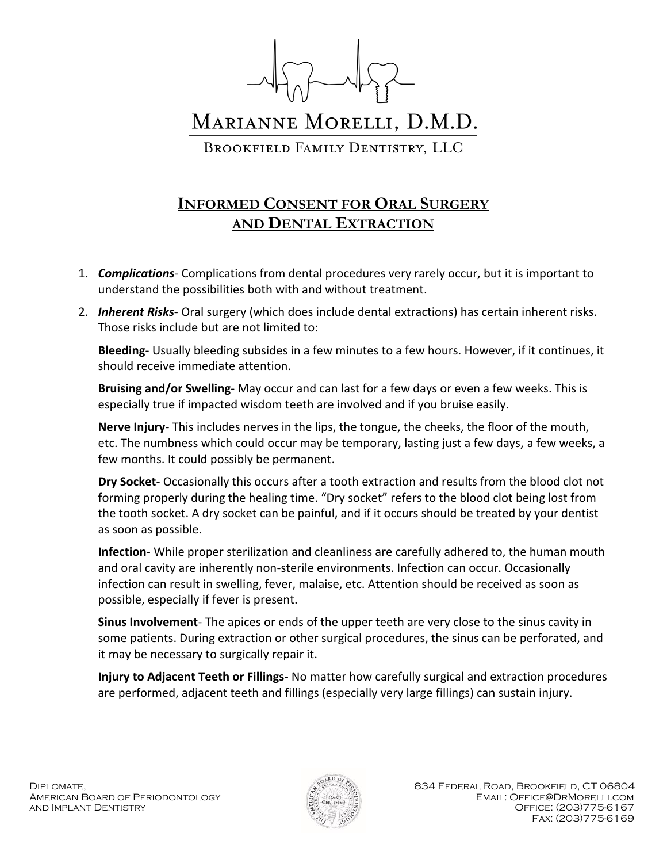

## MARIANNE MORELLI, D.M.D.

BROOKFIELD FAMILY DENTISTRY, LLC

## **INFORMED CONSENT FOR ORAL SURGERY AND DENTAL EXTRACTION**

- 1. *Complications-* Complications from dental procedures very rarely occur, but it is important to understand the possibilities both with and without treatment.
- 2. *Inherent Risks* Oral surgery (which does include dental extractions) has certain inherent risks. Those risks include but are not limited to:

**Bleeding**- Usually bleeding subsides in a few minutes to a few hours. However, if it continues, it should receive immediate attention.

**Bruising and/or Swelling**- May occur and can last for a few days or even a few weeks. This is especially true if impacted wisdom teeth are involved and if you bruise easily.

**Nerve Injury**- This includes nerves in the lips, the tongue, the cheeks, the floor of the mouth, etc. The numbness which could occur may be temporary, lasting just a few days, a few weeks, a few months. It could possibly be permanent.

**Dry Socket**- Occasionally this occurs after a tooth extraction and results from the blood clot not forming properly during the healing time. "Dry socket" refers to the blood clot being lost from the tooth socket. A dry socket can be painful, and if it occurs should be treated by your dentist as soon as possible.

**Infection**- While proper sterilization and cleanliness are carefully adhered to, the human mouth and oral cavity are inherently non-sterile environments. Infection can occur. Occasionally infection can result in swelling, fever, malaise, etc. Attention should be received as soon as possible, especially if fever is present.

**Sinus Involvement**- The apices or ends of the upper teeth are very close to the sinus cavity in some patients. During extraction or other surgical procedures, the sinus can be perforated, and it may be necessary to surgically repair it.

**Injury to Adjacent Teeth or Fillings**- No matter how carefully surgical and extraction procedures are performed, adjacent teeth and fillings (especially very large fillings) can sustain injury.